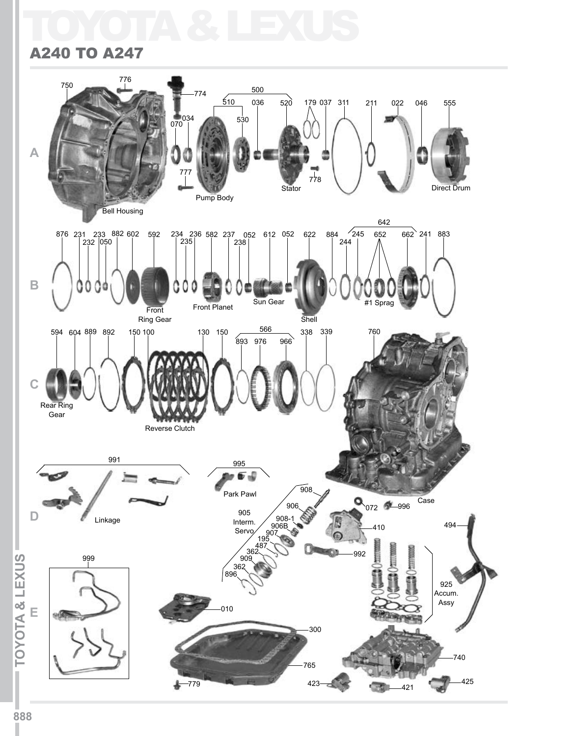# TOYOTA & LEXUS

#### A240 TO A247

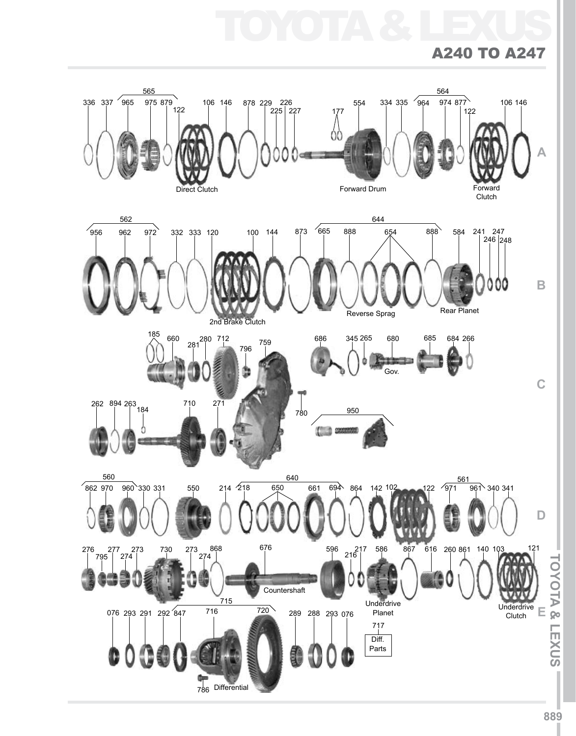TOYOTA & LEXUS

#### A240 to A247

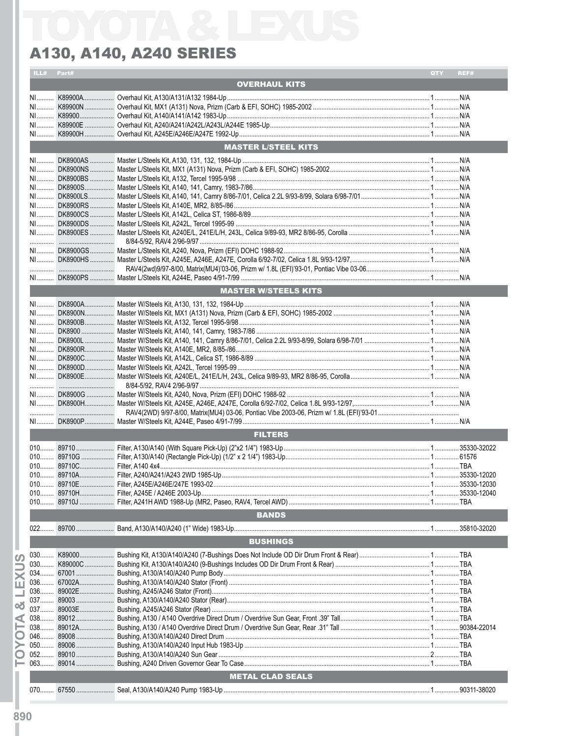|    | ILL# Part# |        |                             | QTY <b>A</b> | REF#         |
|----|------------|--------|-----------------------------|--------------|--------------|
|    |            |        | <b>OVERHAUL KITS</b>        |              |              |
|    |            |        |                             |              |              |
|    |            |        |                             |              |              |
|    |            |        |                             |              |              |
|    |            |        |                             |              |              |
|    |            |        |                             |              |              |
|    |            |        | <b>MASTER L/STEEL KITS</b>  |              |              |
|    |            |        |                             |              |              |
|    |            |        |                             |              |              |
|    |            |        |                             |              |              |
|    |            |        |                             |              |              |
|    |            |        |                             |              |              |
|    |            |        |                             |              |              |
|    |            |        |                             |              |              |
|    |            |        |                             |              |              |
|    |            |        |                             |              |              |
|    |            |        |                             |              |              |
|    |            |        |                             |              |              |
|    |            |        |                             |              |              |
|    |            |        |                             |              |              |
|    |            |        |                             |              |              |
|    |            |        | <b>MASTER W/STEELS KITS</b> |              |              |
|    |            |        |                             |              |              |
|    |            |        |                             |              |              |
|    |            |        |                             |              |              |
|    |            |        |                             |              |              |
|    |            |        |                             |              |              |
|    |            |        |                             |              |              |
|    |            |        |                             |              |              |
|    |            |        |                             |              |              |
|    |            |        |                             |              |              |
|    |            |        |                             |              |              |
|    |            |        |                             |              |              |
|    |            |        |                             |              |              |
|    |            |        |                             |              |              |
|    |            |        | <b>FILTERS</b>              |              |              |
|    |            |        |                             |              |              |
|    |            |        |                             |              |              |
|    |            |        |                             |              |              |
|    |            |        |                             |              |              |
|    |            |        |                             |              |              |
|    |            |        |                             |              |              |
|    |            |        |                             |              |              |
|    |            |        | <b>BANDS</b>                |              |              |
|    |            |        |                             |              |              |
|    | 022.       |        |                             |              | .35810-32020 |
|    |            |        | <b>BUSHINGS</b>             |              |              |
|    | $030$      |        |                             |              |              |
| ഗ  | $030$      |        |                             |              |              |
|    | 034        |        |                             |              |              |
| ш  | $036$      |        |                             |              |              |
|    |            |        |                             |              |              |
|    |            |        |                             |              |              |
| න් | 037        |        |                             |              |              |
| ⋖  |            |        |                             |              |              |
|    | $038$      | 89012A |                             |              |              |
|    | $046$      |        |                             |              |              |
|    | $050$      |        |                             |              |              |
|    |            |        |                             |              |              |
|    |            |        |                             |              |              |
|    |            |        | <b>METAL CLAD SEALS</b>     |              |              |
|    |            |        |                             |              |              |
|    |            |        |                             |              |              |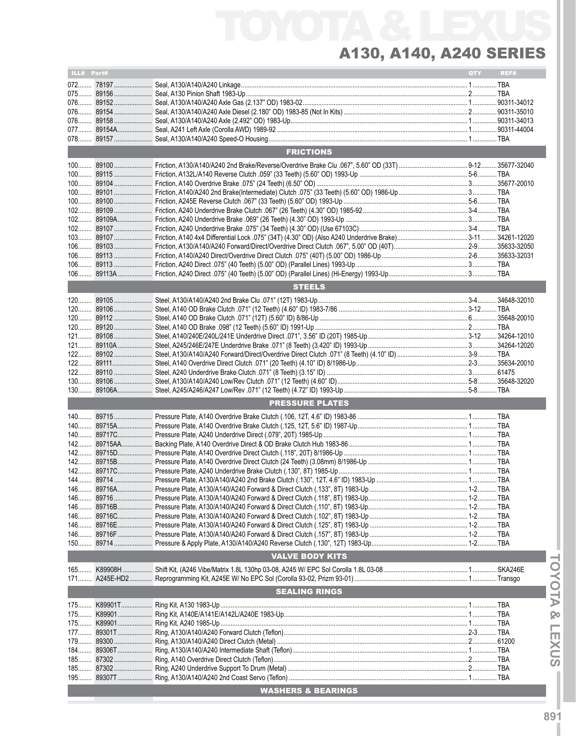# TOYOTA & LEXUS A130, A140, A240 Series

| ILL# Part# |            |                               | QTY | REF# |
|------------|------------|-------------------------------|-----|------|
|            |            |                               |     |      |
|            |            |                               |     |      |
|            |            |                               |     |      |
|            |            |                               |     |      |
|            |            |                               |     |      |
|            |            |                               |     |      |
|            |            |                               |     |      |
|            |            | <b>FRICTIONS</b>              |     |      |
|            |            |                               |     |      |
|            |            |                               |     |      |
|            |            |                               |     |      |
|            |            |                               |     |      |
|            |            |                               |     |      |
|            |            |                               |     |      |
|            |            |                               |     |      |
|            |            |                               |     |      |
|            |            |                               |     |      |
|            |            |                               |     |      |
|            |            |                               |     |      |
|            |            |                               |     |      |
|            |            |                               |     |      |
|            |            | <b>STEELS</b>                 |     |      |
|            |            |                               |     |      |
|            |            |                               |     |      |
|            |            |                               |     |      |
|            |            |                               |     |      |
|            |            |                               |     |      |
|            |            |                               |     |      |
|            |            |                               |     |      |
|            |            |                               |     |      |
|            |            |                               |     |      |
|            |            |                               |     |      |
|            |            | <b>PRESSURE PLATES</b>        |     |      |
|            |            |                               |     |      |
|            |            |                               |     |      |
|            |            |                               |     |      |
|            |            |                               |     |      |
|            |            |                               |     |      |
|            |            |                               |     |      |
|            |            |                               |     |      |
|            |            |                               |     |      |
|            |            |                               |     |      |
|            |            |                               |     |      |
|            |            |                               |     |      |
| $146$      |            |                               |     |      |
| $146$      | 89716E     |                               |     |      |
| 146        |            |                               |     |      |
| $150$      |            |                               |     |      |
|            |            | <b>VALVE BODY KITS</b>        |     |      |
| $165$      |            |                               |     |      |
| $171$      |            |                               |     |      |
|            |            | <b>SEALING RINGS</b>          |     |      |
| $175$      |            |                               |     |      |
| $175$      | K89901     |                               |     |      |
| $175$      |            |                               |     |      |
| $177$      | 89301T     |                               |     |      |
| $179$      |            |                               |     |      |
|            | 184 89306T |                               |     |      |
|            |            |                               |     |      |
| $185$      |            |                               |     |      |
| $195$      |            |                               |     |      |
|            |            | <b>WASHERS &amp; BEARINGS</b> |     |      |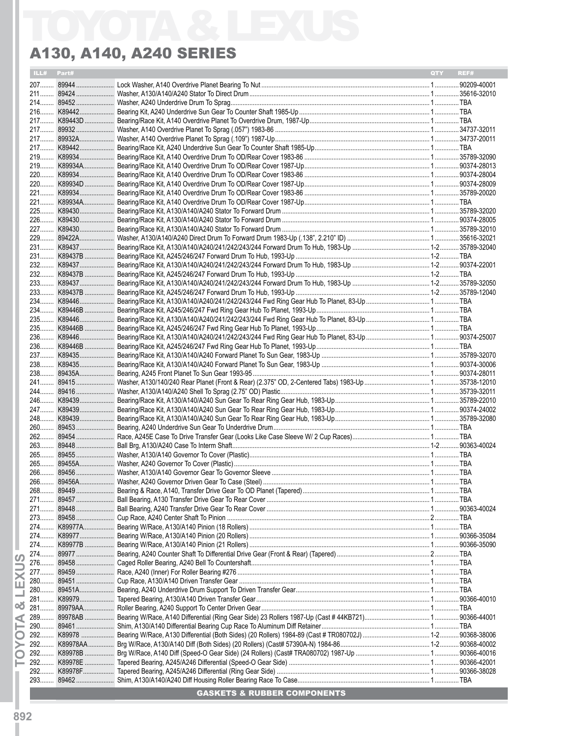### A130, A140, A240 Series

|            | A130, A140, A240 SERIES |            |      |
|------------|-------------------------|------------|------|
| ILL# Part# |                         | <b>OTY</b> | REF# |
|            |                         |            |      |
|            |                         |            |      |
|            |                         |            |      |
|            |                         |            |      |
|            |                         |            |      |
|            |                         |            |      |
|            |                         |            |      |
|            |                         |            |      |
|            |                         |            |      |
|            |                         |            |      |
|            |                         |            |      |
|            |                         |            |      |
|            |                         |            |      |
|            |                         |            |      |
|            |                         |            |      |
|            |                         |            |      |
|            |                         |            |      |
|            |                         |            |      |
|            |                         |            |      |
|            |                         |            |      |
|            |                         |            |      |
|            |                         |            |      |
|            |                         |            |      |
|            |                         |            |      |
|            |                         |            |      |
|            |                         |            |      |
|            |                         |            |      |
|            |                         |            |      |
|            |                         |            |      |
|            |                         |            |      |
|            |                         |            |      |
|            |                         |            |      |
|            |                         |            |      |
|            |                         |            |      |
|            |                         |            |      |
|            |                         |            |      |
|            |                         |            |      |
|            |                         |            |      |
|            |                         |            |      |
|            |                         |            |      |
|            |                         |            |      |
|            |                         |            |      |
|            |                         |            |      |
|            |                         |            |      |
|            |                         |            |      |
|            |                         |            |      |
|            |                         |            |      |
|            |                         |            |      |
|            |                         |            |      |
|            |                         |            |      |
|            |                         |            |      |
|            |                         |            |      |
|            |                         |            |      |
|            |                         |            |      |
|            |                         |            |      |
|            |                         |            |      |
|            |                         |            |      |
|            |                         |            |      |
|            |                         |            |      |
|            |                         |            |      |
|            |                         |            |      |
|            |                         |            |      |
|            |                         |            |      |
|            |                         |            |      |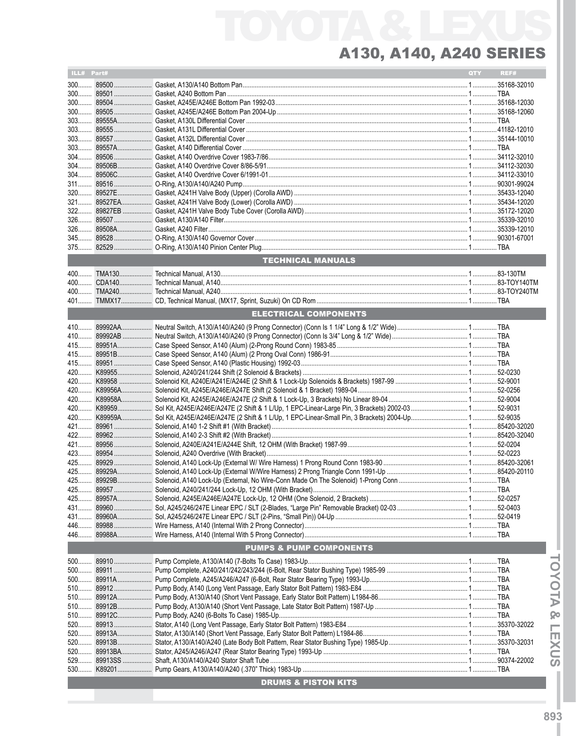| ILL# Part# |                                    | QTY | REF# |
|------------|------------------------------------|-----|------|
|            |                                    |     |      |
|            |                                    |     |      |
|            |                                    |     |      |
|            |                                    |     |      |
|            |                                    |     |      |
|            |                                    |     |      |
|            |                                    |     |      |
|            |                                    |     |      |
|            |                                    |     |      |
|            |                                    |     |      |
|            |                                    |     |      |
|            |                                    |     |      |
|            |                                    |     |      |
|            |                                    |     |      |
|            |                                    |     |      |
|            |                                    |     |      |
|            |                                    |     |      |
|            |                                    |     |      |
|            |                                    |     |      |
|            | <b>TECHNICAL MANUALS</b>           |     |      |
|            |                                    |     |      |
|            |                                    |     |      |
|            |                                    |     |      |
|            |                                    |     |      |
|            | <b>ELECTRICAL COMPONENTS</b>       |     |      |
|            |                                    |     |      |
|            |                                    |     |      |
|            |                                    |     |      |
|            |                                    |     |      |
|            |                                    |     |      |
|            |                                    |     |      |
|            |                                    |     |      |
|            |                                    |     |      |
|            |                                    |     |      |
|            |                                    |     |      |
|            |                                    |     |      |
|            |                                    |     |      |
|            |                                    |     |      |
|            |                                    |     |      |
|            |                                    |     |      |
|            |                                    |     |      |
|            |                                    |     |      |
|            |                                    |     |      |
|            |                                    |     |      |
|            |                                    |     |      |
|            |                                    |     |      |
|            |                                    |     |      |
|            |                                    |     |      |
|            | <b>PUMPS &amp; PUMP COMPONENTS</b> |     |      |
|            |                                    |     |      |
|            |                                    |     |      |
|            |                                    |     |      |
|            |                                    |     |      |
|            |                                    |     |      |
|            |                                    |     |      |
|            |                                    |     |      |
|            |                                    |     |      |
|            |                                    |     |      |
|            |                                    |     |      |
| 520        |                                    |     |      |
|            |                                    |     |      |
|            |                                    |     |      |
|            | <b>DRUMS &amp; PISTON KITS</b>     |     |      |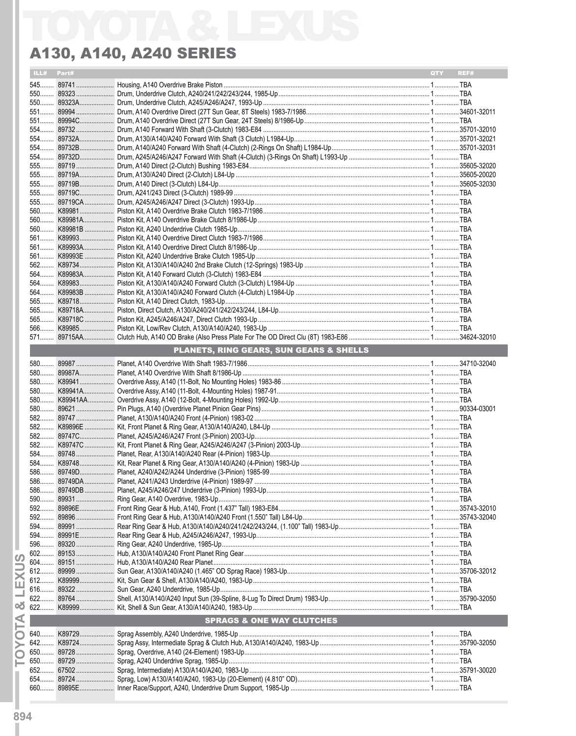| ILL# Part# |                                         | QTY | REF# |
|------------|-----------------------------------------|-----|------|
|            |                                         |     |      |
|            |                                         |     |      |
|            |                                         |     |      |
|            |                                         |     |      |
|            |                                         |     |      |
|            |                                         |     |      |
|            |                                         |     |      |
|            |                                         |     |      |
|            |                                         |     |      |
|            |                                         |     |      |
|            |                                         |     |      |
|            |                                         |     |      |
|            |                                         |     |      |
|            |                                         |     |      |
|            |                                         |     |      |
|            |                                         |     |      |
|            |                                         |     |      |
|            |                                         |     |      |
|            |                                         |     |      |
|            |                                         |     |      |
|            |                                         |     |      |
|            |                                         |     |      |
|            |                                         |     |      |
|            |                                         |     |      |
|            |                                         |     |      |
|            |                                         |     |      |
|            |                                         |     |      |
|            |                                         |     |      |
|            |                                         |     |      |
|            | PLANETS, RING GEARS, SUN GEARS & SHELLS |     |      |
|            |                                         |     |      |
|            |                                         |     |      |
|            |                                         |     |      |
|            |                                         |     |      |
|            |                                         |     |      |
|            |                                         |     |      |
|            |                                         |     |      |
|            |                                         |     |      |
|            |                                         |     |      |
|            |                                         |     |      |
|            |                                         |     |      |
|            |                                         |     |      |
|            |                                         |     |      |
|            |                                         |     |      |
|            |                                         |     |      |
|            |                                         |     |      |
|            |                                         |     |      |
|            |                                         |     |      |
|            |                                         |     |      |
|            |                                         |     |      |
|            |                                         |     |      |
|            |                                         |     |      |
|            |                                         |     |      |
|            |                                         |     |      |
|            |                                         |     |      |
|            |                                         |     |      |
|            |                                         |     |      |
|            |                                         |     |      |
|            | <b>SPRAGS &amp; ONE WAY CLUTCHES</b>    |     |      |
|            |                                         |     |      |
|            |                                         |     |      |
|            |                                         |     |      |
|            |                                         |     |      |
|            |                                         |     |      |
|            |                                         |     |      |
|            |                                         |     |      |
|            |                                         |     |      |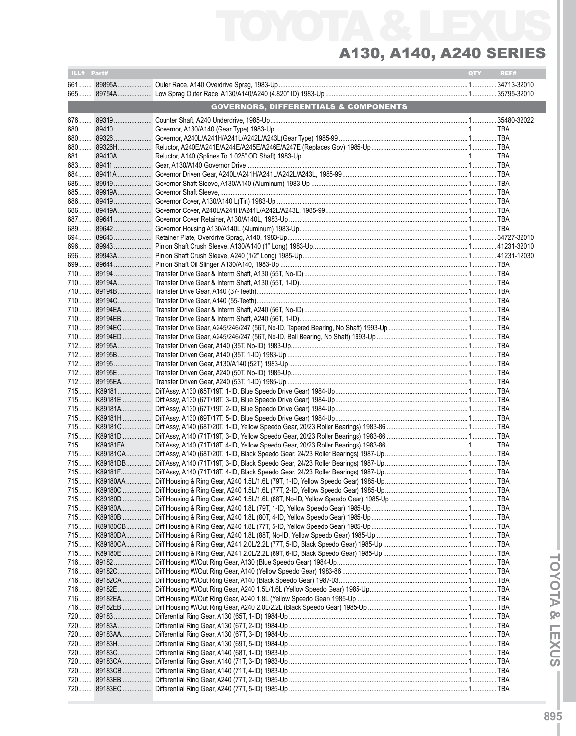# TOYOTA & LEXUS A130, A140, A240 Series

| ILL# Part# |                                                  | QTY | REF# |
|------------|--------------------------------------------------|-----|------|
|            |                                                  |     |      |
|            |                                                  |     |      |
|            | <b>GOVERNORS, DIFFERENTIALS &amp; COMPONENTS</b> |     |      |
|            |                                                  |     |      |
|            |                                                  |     |      |
|            |                                                  |     |      |
|            |                                                  |     |      |
|            |                                                  |     |      |
|            |                                                  |     |      |
|            |                                                  |     |      |
|            |                                                  |     |      |
|            |                                                  |     |      |
|            |                                                  |     |      |
|            |                                                  |     |      |
|            |                                                  |     |      |
|            |                                                  |     |      |
|            |                                                  |     |      |
|            |                                                  |     |      |
|            |                                                  |     |      |
|            |                                                  |     |      |
|            |                                                  |     |      |
|            |                                                  |     |      |
|            |                                                  |     |      |
|            |                                                  |     |      |
|            |                                                  |     |      |
|            |                                                  |     |      |
|            |                                                  |     |      |
|            |                                                  |     |      |
|            |                                                  |     |      |
|            |                                                  |     |      |
|            |                                                  |     |      |
|            |                                                  |     |      |
|            |                                                  |     |      |
|            |                                                  |     |      |
|            |                                                  |     |      |
|            |                                                  |     |      |
|            |                                                  |     |      |
|            |                                                  |     |      |
|            |                                                  |     |      |
|            |                                                  |     |      |
|            |                                                  |     |      |
|            |                                                  |     |      |
|            |                                                  |     |      |
|            |                                                  |     |      |
|            |                                                  |     |      |
|            |                                                  |     |      |
|            |                                                  |     |      |
|            |                                                  |     |      |
|            |                                                  |     |      |
|            |                                                  |     |      |
|            |                                                  |     |      |
|            |                                                  |     |      |
|            |                                                  |     |      |
|            |                                                  |     |      |
|            |                                                  |     |      |
|            |                                                  |     |      |
|            |                                                  |     |      |
|            |                                                  |     |      |
|            |                                                  |     |      |
|            |                                                  |     |      |
|            |                                                  |     |      |
|            |                                                  |     |      |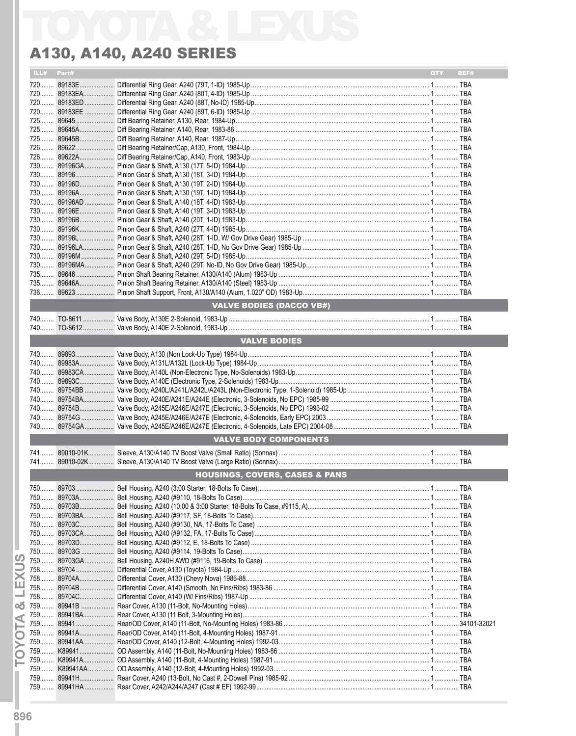|     | ILL# Part# |                                           | QTY | REF# |
|-----|------------|-------------------------------------------|-----|------|
|     |            |                                           |     |      |
|     |            |                                           |     |      |
|     |            |                                           |     |      |
|     |            |                                           |     |      |
|     |            |                                           |     |      |
|     |            |                                           |     |      |
|     |            |                                           |     |      |
|     |            |                                           |     |      |
|     |            |                                           |     |      |
|     |            |                                           |     |      |
|     |            |                                           |     |      |
|     |            |                                           |     |      |
|     |            |                                           |     |      |
|     |            |                                           |     |      |
|     |            |                                           |     |      |
|     |            |                                           |     |      |
|     |            |                                           |     |      |
|     |            |                                           |     |      |
|     |            |                                           |     |      |
|     |            |                                           |     |      |
|     |            |                                           |     |      |
|     |            |                                           |     |      |
|     |            |                                           |     |      |
|     |            |                                           |     |      |
|     |            |                                           |     |      |
|     |            |                                           |     |      |
|     |            |                                           |     |      |
|     |            | <b>VALVE BODIES (DACCO VB#)</b>           |     |      |
|     |            |                                           |     |      |
|     |            |                                           |     |      |
|     |            |                                           |     |      |
|     |            | <b>VALVE BODIES</b>                       |     |      |
|     |            |                                           |     |      |
|     |            |                                           |     |      |
|     |            |                                           |     |      |
|     |            |                                           |     |      |
|     |            |                                           |     |      |
|     |            |                                           |     |      |
|     |            |                                           |     |      |
|     |            |                                           |     |      |
|     |            |                                           |     |      |
|     |            |                                           |     |      |
|     |            |                                           |     |      |
|     |            | <b>VALVE BODY COMPONENTS</b>              |     |      |
|     |            |                                           |     |      |
|     |            |                                           |     |      |
|     |            |                                           |     |      |
|     |            | <b>HOUSINGS, COVERS, CASES &amp; PANS</b> |     |      |
|     |            |                                           |     |      |
|     |            |                                           |     |      |
|     |            |                                           |     |      |
|     |            |                                           |     |      |
|     |            |                                           |     |      |
|     |            |                                           |     |      |
|     |            |                                           |     |      |
|     |            |                                           |     |      |
|     |            |                                           |     |      |
|     |            |                                           |     |      |
| 758 |            |                                           |     |      |
|     |            |                                           |     |      |
|     |            |                                           |     |      |
|     |            |                                           |     |      |
|     |            |                                           |     |      |
|     |            |                                           |     |      |
| 759 |            |                                           |     |      |
|     |            |                                           |     |      |
| 759 |            |                                           |     |      |
|     |            |                                           |     |      |
| 759 |            |                                           |     |      |
|     |            |                                           |     |      |
| 759 |            |                                           |     |      |
|     |            |                                           |     |      |
|     |            |                                           |     |      |
|     |            |                                           |     |      |
|     |            |                                           |     |      |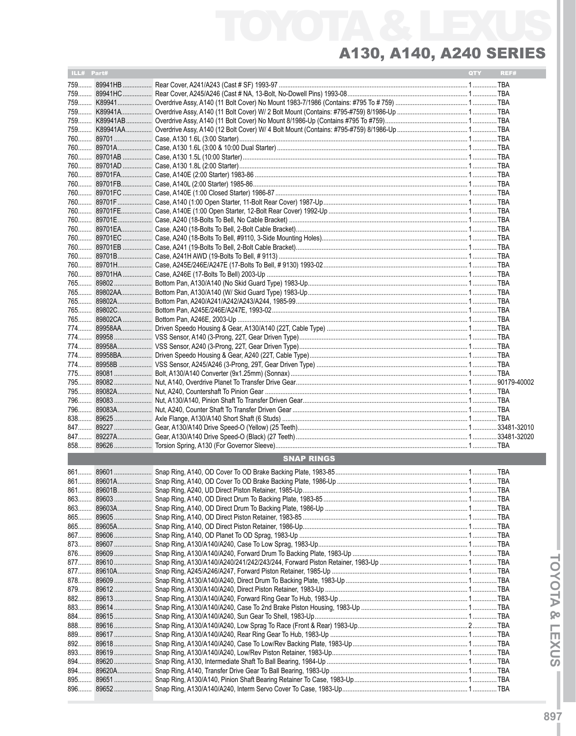| ILL# Part# |            |                                                                                                                          | QTY | REF# |
|------------|------------|--------------------------------------------------------------------------------------------------------------------------|-----|------|
|            |            |                                                                                                                          |     |      |
|            |            | 759 89941HC……………… Rear Cover, A245/A246 (Cast # NA, 13-Bolt, No-Dowell Pins) 1993-08…………………………………………………………………………………… TBA |     |      |
|            |            |                                                                                                                          |     |      |
|            |            |                                                                                                                          |     |      |
|            |            |                                                                                                                          |     |      |
|            |            |                                                                                                                          |     |      |
|            |            |                                                                                                                          |     |      |
|            |            |                                                                                                                          |     |      |
|            |            |                                                                                                                          |     |      |
|            |            |                                                                                                                          |     |      |
|            |            |                                                                                                                          |     |      |
|            |            |                                                                                                                          |     |      |
|            |            |                                                                                                                          |     |      |
|            |            |                                                                                                                          |     |      |
|            |            |                                                                                                                          |     |      |
|            |            |                                                                                                                          |     |      |
|            |            |                                                                                                                          |     |      |
|            |            |                                                                                                                          |     |      |
|            |            |                                                                                                                          |     |      |
|            |            |                                                                                                                          |     |      |
|            |            |                                                                                                                          |     |      |
|            |            |                                                                                                                          |     |      |
|            |            |                                                                                                                          |     |      |
|            |            |                                                                                                                          |     |      |
|            |            |                                                                                                                          |     |      |
|            |            |                                                                                                                          |     |      |
|            |            |                                                                                                                          |     |      |
|            |            |                                                                                                                          |     |      |
|            |            |                                                                                                                          |     |      |
|            |            |                                                                                                                          |     |      |
|            |            |                                                                                                                          |     |      |
|            |            |                                                                                                                          |     |      |
|            |            |                                                                                                                          |     |      |
|            |            |                                                                                                                          |     |      |
|            |            |                                                                                                                          |     |      |
|            |            |                                                                                                                          |     |      |
|            |            |                                                                                                                          |     |      |
| 847        |            |                                                                                                                          |     |      |
|            |            |                                                                                                                          |     |      |
|            |            | <b>SNAP RINGS</b>                                                                                                        |     |      |
|            |            |                                                                                                                          |     |      |
|            |            |                                                                                                                          |     |      |
|            |            |                                                                                                                          |     |      |
|            | 863 89603  |                                                                                                                          |     |      |
|            |            |                                                                                                                          |     |      |
|            |            |                                                                                                                          |     |      |
|            | 865 89605A |                                                                                                                          |     |      |
|            | 867 89606  |                                                                                                                          |     |      |
| 873        | 89607      |                                                                                                                          |     |      |
|            |            |                                                                                                                          |     |      |
|            |            |                                                                                                                          |     |      |
|            | 877 89610A |                                                                                                                          |     |      |
| 878        | 89609      |                                                                                                                          |     |      |
| 879        |            |                                                                                                                          |     |      |
|            |            |                                                                                                                          |     |      |
|            | 884 89615  |                                                                                                                          |     |      |
|            | 888 89616  |                                                                                                                          |     |      |
| 889        | 89617      |                                                                                                                          |     |      |
|            |            |                                                                                                                          |     |      |
|            |            |                                                                                                                          |     |      |
|            | 894 89620  |                                                                                                                          |     |      |
|            |            |                                                                                                                          |     |      |
| 895        |            |                                                                                                                          |     |      |
|            |            |                                                                                                                          |     |      |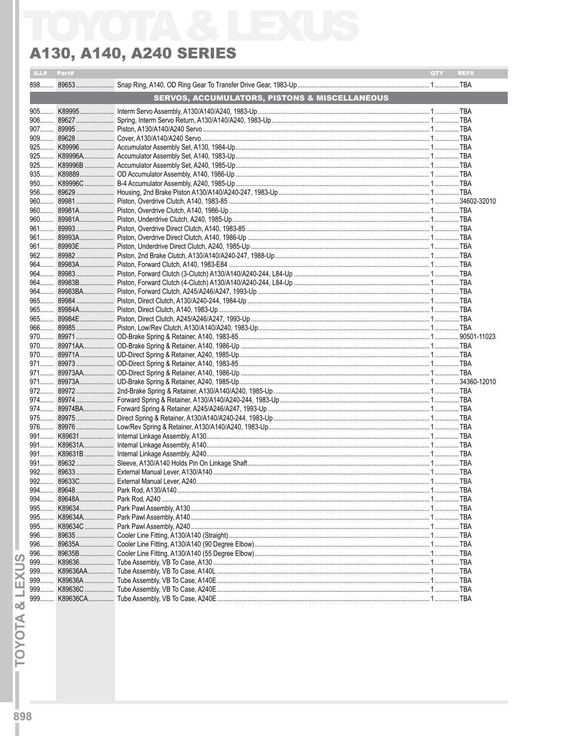| ILL# | Part#     |                                                          | QTY. | REF# |
|------|-----------|----------------------------------------------------------|------|------|
|      |           |                                                          |      |      |
|      |           | <b>SERVOS, ACCUMULATORS, PISTONS &amp; MISCELLANEOUS</b> |      |      |
|      |           |                                                          |      |      |
|      |           |                                                          |      |      |
|      |           |                                                          |      |      |
|      |           |                                                          |      |      |
|      |           |                                                          |      |      |
|      |           |                                                          |      |      |
|      |           |                                                          |      |      |
|      |           |                                                          |      |      |
|      |           |                                                          |      |      |
|      |           |                                                          |      |      |
|      |           |                                                          |      |      |
|      |           |                                                          |      |      |
|      |           |                                                          |      |      |
|      |           |                                                          |      |      |
|      |           |                                                          |      |      |
|      |           |                                                          |      |      |
|      |           |                                                          |      |      |
|      |           |                                                          |      |      |
|      |           |                                                          |      |      |
|      |           |                                                          |      |      |
|      |           |                                                          |      |      |
|      |           |                                                          |      |      |
|      |           |                                                          |      |      |
|      |           |                                                          |      |      |
|      |           |                                                          |      |      |
|      |           |                                                          |      |      |
|      |           |                                                          |      |      |
|      |           |                                                          |      |      |
|      |           |                                                          |      |      |
|      |           |                                                          |      |      |
|      |           |                                                          |      |      |
|      |           |                                                          |      |      |
|      |           |                                                          |      |      |
|      |           |                                                          |      |      |
|      |           |                                                          |      |      |
|      |           |                                                          |      |      |
|      |           |                                                          |      |      |
|      |           |                                                          |      |      |
|      |           |                                                          |      |      |
|      |           |                                                          |      |      |
|      |           |                                                          |      |      |
|      |           |                                                          |      |      |
|      |           |                                                          |      |      |
|      |           |                                                          |      |      |
|      |           |                                                          |      |      |
|      |           |                                                          |      |      |
|      |           |                                                          |      |      |
|      | 996 89635 |                                                          |      |      |
|      |           |                                                          |      |      |
|      |           |                                                          |      |      |
|      |           |                                                          |      |      |
| 999  |           |                                                          |      |      |
| 999  |           |                                                          |      |      |
| 999  |           |                                                          |      |      |
| 999  |           |                                                          |      |      |

**TOYOTA & LEXUS**